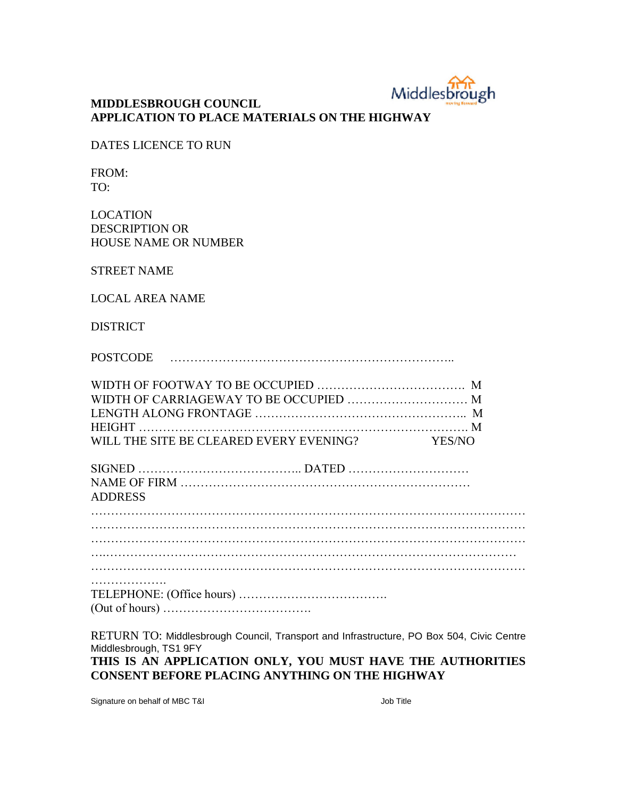

## **MIDDLESBROUGH COUNCIL APPLICATION TO PLACE MATERIALS ON THE HIGHWAY**

DATES LICENCE TO RUN

FROM: TO:

LOCATION DESCRIPTION OR HOUSE NAME OR NUMBER

STREET NAME

LOCAL AREA NAME

DISTRICT

POSTCODE ……………………………………………………………..

| WILL THE SITE BE CLEARED EVERY EVENING? YES/NO |  |
|------------------------------------------------|--|

| ADDRESS |  |
|---------|--|

…………………… TELEPHONE: (Office hours) ………………………………. (Out of hours) ……………………………….

RETURN TO: Middlesbrough Council, Transport and Infrastructure, PO Box 504, Civic Centre Middlesbrough, TS1 9FY

**THIS IS AN APPLICATION ONLY, YOU MUST HAVE THE AUTHORITIES CONSENT BEFORE PLACING ANYTHING ON THE HIGHWAY**

Signature on behalf of MBC T&I Job Title